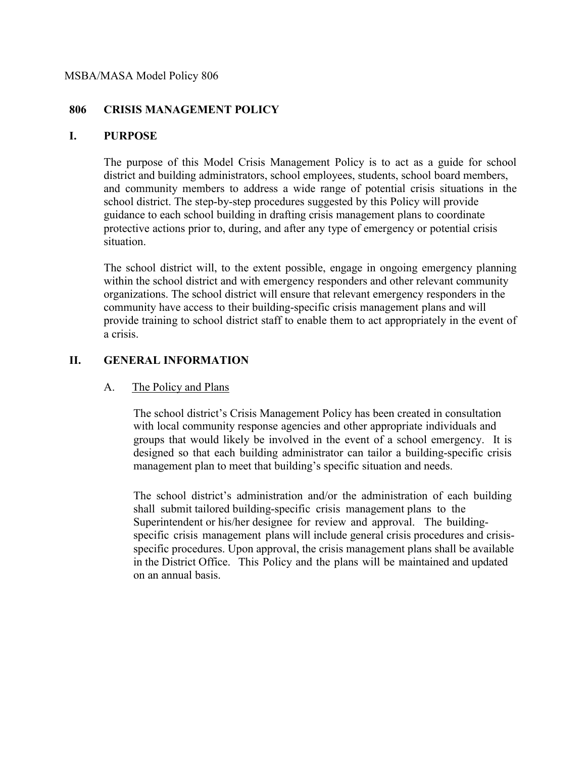#### MSBA/MASA Model Policy 806

### **806 CRISIS MANAGEMENT POLICY**

### **I. PURPOSE**

The purpose of this Model Crisis Management Policy is to act as a guide for school district and building administrators, school employees, students, school board members, and community members to address a wide range of potential crisis situations in the school district. The step-by-step procedures suggested by this Policy will provide guidance to each school building in drafting crisis management plans to coordinate protective actions prior to, during, and after any type of emergency or potential crisis situation.

The school district will, to the extent possible, engage in ongoing emergency planning within the school district and with emergency responders and other relevant community organizations. The school district will ensure that relevant emergency responders in the community have access to their building-specific crisis management plans and will provide training to school district staff to enable them to act appropriately in the event of a crisis.

## **II. GENERAL INFORMATION**

## A. The Policy and Plans

The school district's Crisis Management Policy has been created in consultation with local community response agencies and other appropriate individuals and groups that would likely be involved in the event of a school emergency. It is designed so that each building administrator can tailor a building-specific crisis management plan to meet that building's specific situation and needs.

The school district's administration and/or the administration of each building shall submit tailored building-specific crisis management plans to the Superintendent or his/her designee for review and approval. The buildingspecific crisis management plans will include general crisis procedures and crisisspecific procedures. Upon approval, the crisis management plans shall be available in the District Office. This Policy and the plans will be maintained and updated on an annual basis.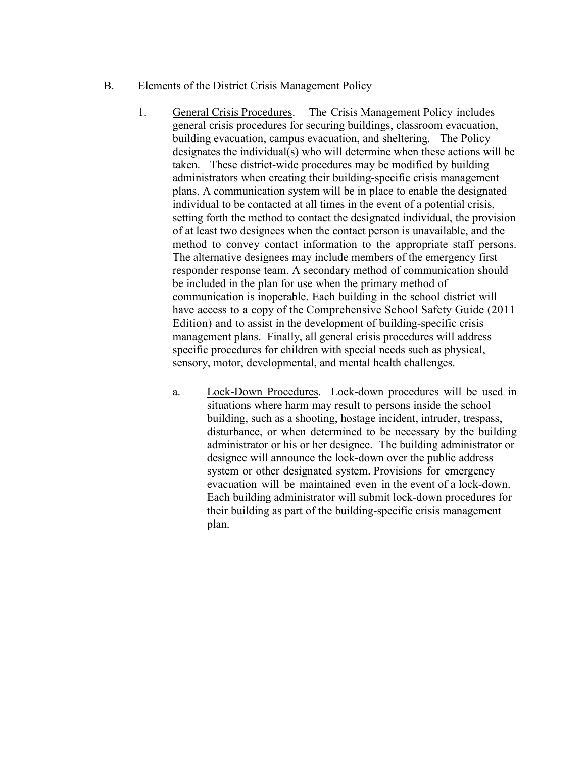### B. Elements of the District Crisis Management Policy

- 1. General Crisis Procedures. The Crisis Management Policy includes general crisis procedures for securing buildings, classroom evacuation, building evacuation, campus evacuation, and sheltering. The Policy designates the individual(s) who will determine when these actions will be taken. These district-wide procedures may be modified by building administrators when creating their building-specific crisis management plans. A communication system will be in place to enable the designated individual to be contacted at all times in the event of a potential crisis, setting forth the method to contact the designated individual, the provision of at least two designees when the contact person is unavailable, and the method to convey contact information to the appropriate staff persons. The alternative designees may include members of the emergency first responder response team. A secondary method of communication should be included in the plan for use when the primary method of communication is inoperable. Each building in the school district will have access to a copy of the Comprehensive School Safety Guide (2011 Edition) and to assist in the development of building-specific crisis management plans. Finally, all general crisis procedures will address specific procedures for children with special needs such as physical, sensory, motor, developmental, and mental health challenges.
	- a. Lock-Down Procedures. Lock-down procedures will be used in situations where harm may result to persons inside the school building, such as a shooting, hostage incident, intruder, trespass, disturbance, or when determined to be necessary by the building administrator or his or her designee. The building administrator or designee will announce the lock-down over the public address system or other designated system. Provisions for emergency evacuation will be maintained even in the event of a lock-down. Each building administrator will submit lock-down procedures for their building as part of the building-specific crisis management plan.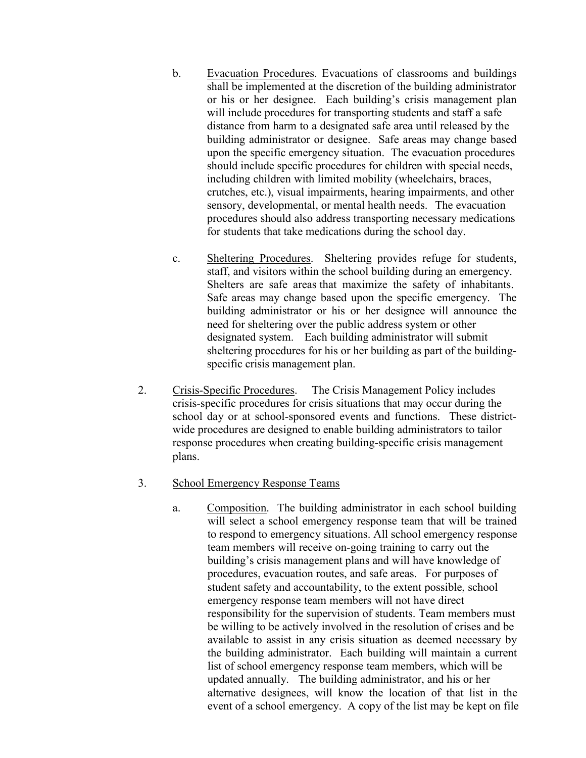- b. Evacuation Procedures. Evacuations of classrooms and buildings shall be implemented at the discretion of the building administrator or his or her designee. Each building's crisis management plan will include procedures for transporting students and staff a safe distance from harm to a designated safe area until released by the building administrator or designee. Safe areas may change based upon the specific emergency situation. The evacuation procedures should include specific procedures for children with special needs, including children with limited mobility (wheelchairs, braces, crutches, etc.), visual impairments, hearing impairments, and other sensory, developmental, or mental health needs. The evacuation procedures should also address transporting necessary medications for students that take medications during the school day.
- c. Sheltering Procedures. Sheltering provides refuge for students, staff, and visitors within the school building during an emergency. Shelters are safe areas that maximize the safety of inhabitants. Safe areas may change based upon the specific emergency. The building administrator or his or her designee will announce the need for sheltering over the public address system or other designated system. Each building administrator will submit sheltering procedures for his or her building as part of the buildingspecific crisis management plan.
- 2. Crisis-Specific Procedures. The Crisis Management Policy includes crisis-specific procedures for crisis situations that may occur during the school day or at school-sponsored events and functions. These districtwide procedures are designed to enable building administrators to tailor response procedures when creating building-specific crisis management plans.

### 3. School Emergency Response Teams

a. Composition. The building administrator in each school building will select a school emergency response team that will be trained to respond to emergency situations. All school emergency response team members will receive on-going training to carry out the building's crisis management plans and will have knowledge of procedures, evacuation routes, and safe areas. For purposes of student safety and accountability, to the extent possible, school emergency response team members will not have direct responsibility for the supervision of students. Team members must be willing to be actively involved in the resolution of crises and be available to assist in any crisis situation as deemed necessary by the building administrator. Each building will maintain a current list of school emergency response team members, which will be updated annually. The building administrator, and his or her alternative designees, will know the location of that list in the event of a school emergency. A copy of the list may be kept on file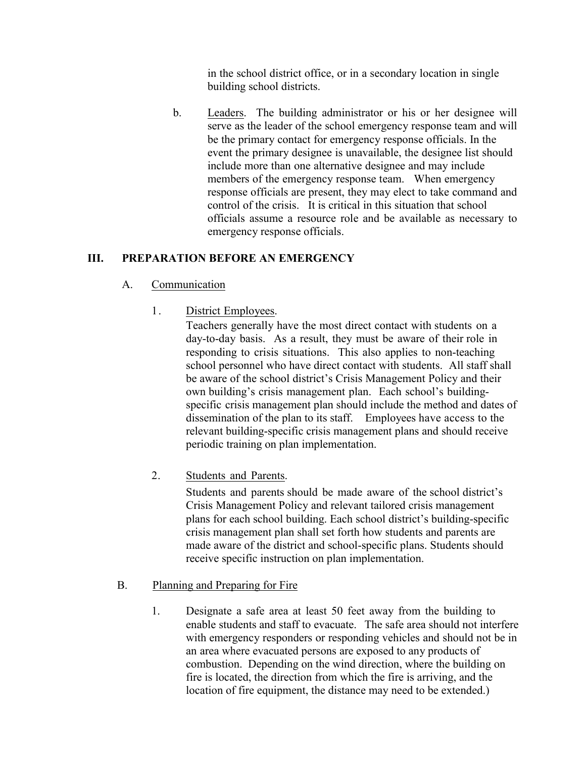in the school district office, or in a secondary location in single building school districts.

b. Leaders. The building administrator or his or her designee will serve as the leader of the school emergency response team and will be the primary contact for emergency response officials. In the event the primary designee is unavailable, the designee list should include more than one alternative designee and may include members of the emergency response team. When emergency response officials are present, they may elect to take command and control of the crisis. It is critical in this situation that school officials assume a resource role and be available as necessary to emergency response officials.

## **III. PREPARATION BEFORE AN EMERGENCY**

## A. Communication

1. District Employees.

Teachers generally have the most direct contact with students on a day-to-day basis. As a result, they must be aware of their role in responding to crisis situations. This also applies to non-teaching school personnel who have direct contact with students. All staff shall be aware of the school district's Crisis Management Policy and their own building's crisis management plan. Each school's buildingspecific crisis management plan should include the method and dates of dissemination of the plan to its staff. Employees have access to the relevant building-specific crisis management plans and should receive periodic training on plan implementation.

2. Students and Parents.

Students and parents should be made aware of the school district's Crisis Management Policy and relevant tailored crisis management plans for each school building. Each school district's building-specific crisis management plan shall set forth how students and parents are made aware of the district and school-specific plans. Students should receive specific instruction on plan implementation.

- B. Planning and Preparing for Fire
	- 1. Designate a safe area at least 50 feet away from the building to enable students and staff to evacuate. The safe area should not interfere with emergency responders or responding vehicles and should not be in an area where evacuated persons are exposed to any products of combustion. Depending on the wind direction, where the building on fire is located, the direction from which the fire is arriving, and the location of fire equipment, the distance may need to be extended.)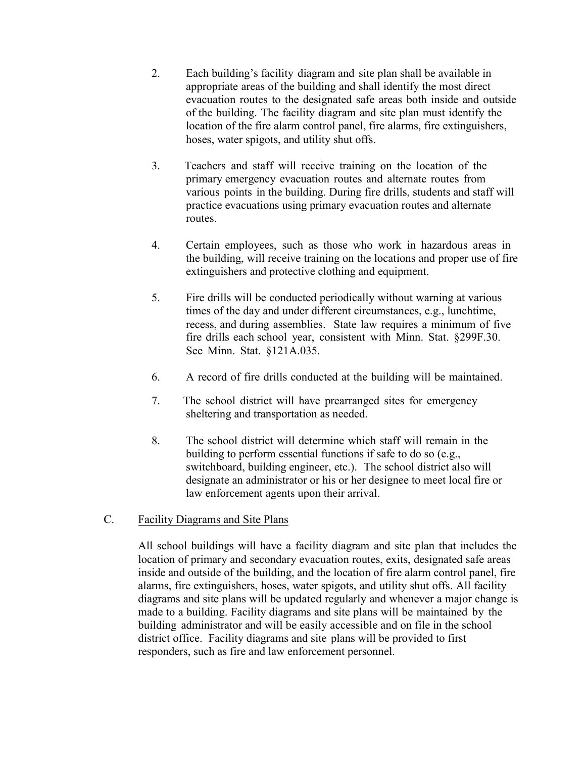- 2. Each building's facility diagram and site plan shall be available in appropriate areas of the building and shall identify the most direct evacuation routes to the designated safe areas both inside and outside of the building. The facility diagram and site plan must identify the location of the fire alarm control panel, fire alarms, fire extinguishers, hoses, water spigots, and utility shut offs.
- 3. Teachers and staff will receive training on the location of the primary emergency evacuation routes and alternate routes from various points in the building. During fire drills, students and staff will practice evacuations using primary evacuation routes and alternate routes.
- 4. Certain employees, such as those who work in hazardous areas in the building, will receive training on the locations and proper use of fire extinguishers and protective clothing and equipment.
- 5. Fire drills will be conducted periodically without warning at various times of the day and under different circumstances, e.g., lunchtime, recess, and during assemblies. State law requires a minimum of five fire drills each school year, consistent with Minn. Stat. §299F.30. See Minn. Stat. §121A.035.
- 6. A record of fire drills conducted at the building will be maintained.
- 7. The school district will have prearranged sites for emergency sheltering and transportation as needed.
- 8. The school district will determine which staff will remain in the building to perform essential functions if safe to do so (e.g., switchboard, building engineer, etc.). The school district also will designate an administrator or his or her designee to meet local fire or law enforcement agents upon their arrival.

## C. Facility Diagrams and Site Plans

All school buildings will have a facility diagram and site plan that includes the location of primary and secondary evacuation routes, exits, designated safe areas inside and outside of the building, and the location of fire alarm control panel, fire alarms, fire extinguishers, hoses, water spigots, and utility shut offs. All facility diagrams and site plans will be updated regularly and whenever a major change is made to a building. Facility diagrams and site plans will be maintained by the building administrator and will be easily accessible and on file in the school district office. Facility diagrams and site plans will be provided to first responders, such as fire and law enforcement personnel.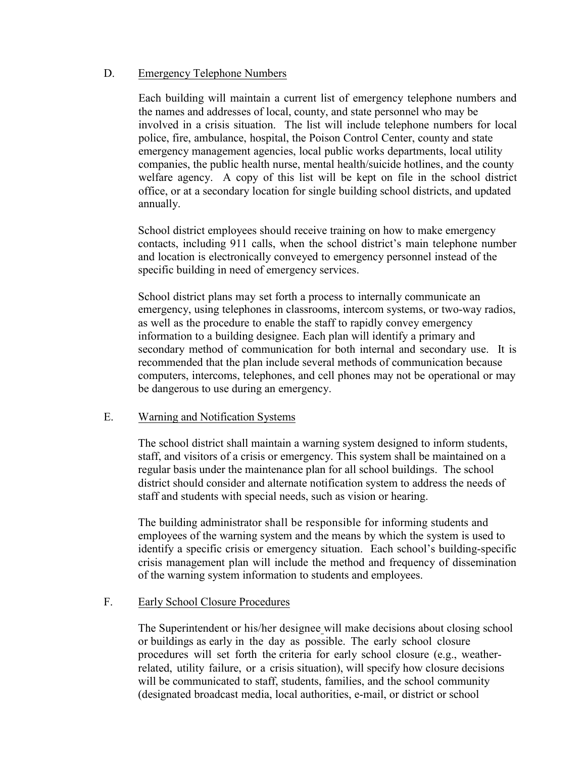### D. Emergency Telephone Numbers

Each building will maintain a current list of emergency telephone numbers and the names and addresses of local, county, and state personnel who may be involved in a crisis situation. The list will include telephone numbers for local police, fire, ambulance, hospital, the Poison Control Center, county and state emergency management agencies, local public works departments, local utility companies, the public health nurse, mental health/suicide hotlines, and the county welfare agency. A copy of this list will be kept on file in the school district office, or at a secondary location for single building school districts, and updated annually.

School district employees should receive training on how to make emergency contacts, including 911 calls, when the school district's main telephone number and location is electronically conveyed to emergency personnel instead of the specific building in need of emergency services.

School district plans may set forth a process to internally communicate an emergency, using telephones in classrooms, intercom systems, or two-way radios, as well as the procedure to enable the staff to rapidly convey emergency information to a building designee. Each plan will identify a primary and secondary method of communication for both internal and secondary use. It is recommended that the plan include several methods of communication because computers, intercoms, telephones, and cell phones may not be operational or may be dangerous to use during an emergency.

### E. Warning and Notification Systems

The school district shall maintain a warning system designed to inform students, staff, and visitors of a crisis or emergency. This system shall be maintained on a regular basis under the maintenance plan for all school buildings. The school district should consider and alternate notification system to address the needs of staff and students with special needs, such as vision or hearing.

The building administrator shall be responsible for informing students and employees of the warning system and the means by which the system is used to identify a specific crisis or emergency situation. Each school's building-specific crisis management plan will include the method and frequency of dissemination of the warning system information to students and employees.

### F. Early School Closure Procedures

The Superintendent or his/her designee will make decisions about closing school or buildings as early in the day as possible. The early school closure procedures will set forth the criteria for early school closure (e.g., weatherrelated, utility failure, or a crisis situation), will specify how closure decisions will be communicated to staff, students, families, and the school community (designated broadcast media, local authorities, e-mail, or district or school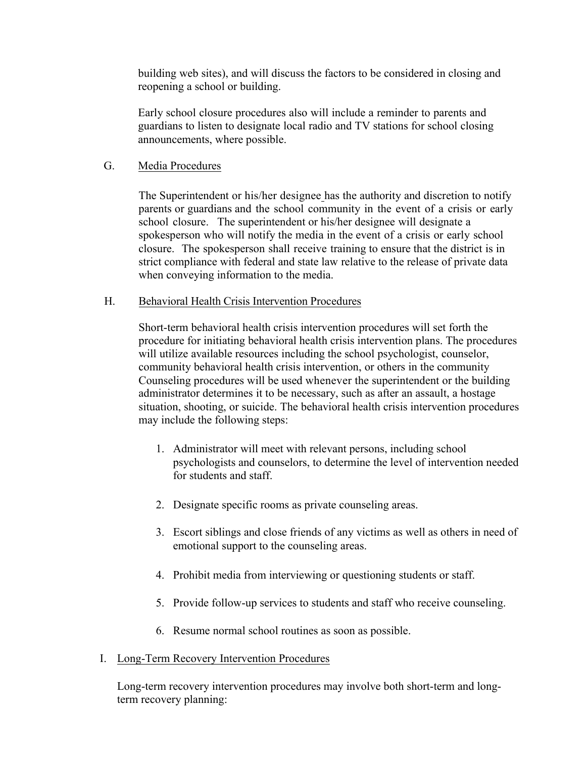building web sites), and will discuss the factors to be considered in closing and reopening a school or building.

Early school closure procedures also will include a reminder to parents and guardians to listen to designate local radio and TV stations for school closing announcements, where possible.

### G. Media Procedures

The Superintendent or his/her designee has the authority and discretion to notify parents or guardians and the school community in the event of a crisis or early school closure. The superintendent or his/her designee will designate a spokesperson who will notify the media in the event of a crisis or early school closure. The spokesperson shall receive training to ensure that the district is in strict compliance with federal and state law relative to the release of private data when conveying information to the media.

### H. Behavioral Health Crisis Intervention Procedures

Short-term behavioral health crisis intervention procedures will set forth the procedure for initiating behavioral health crisis intervention plans. The procedures will utilize available resources including the school psychologist, counselor, community behavioral health crisis intervention, or others in the community Counseling procedures will be used whenever the superintendent or the building administrator determines it to be necessary, such as after an assault, a hostage situation, shooting, or suicide. The behavioral health crisis intervention procedures may include the following steps:

- 1. Administrator will meet with relevant persons, including school psychologists and counselors, to determine the level of intervention needed for students and staff.
- 2. Designate specific rooms as private counseling areas.
- 3. Escort siblings and close friends of any victims as well as others in need of emotional support to the counseling areas.
- 4. Prohibit media from interviewing or questioning students or staff.
- 5. Provide follow-up services to students and staff who receive counseling.
- 6. Resume normal school routines as soon as possible.
- I. Long-Term Recovery Intervention Procedures

Long-term recovery intervention procedures may involve both short-term and longterm recovery planning: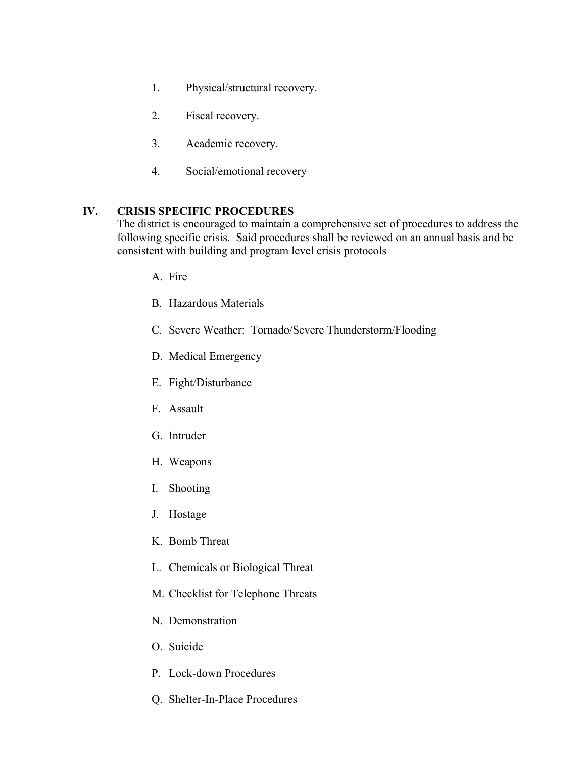- 1. Physical/structural recovery.
- 2. Fiscal recovery.
- 3. Academic recovery.
- 4. Social/emotional recovery

### **IV. CRISIS SPECIFIC PROCEDURES**

The district is encouraged to maintain a comprehensive set of procedures to address the following specific crisis. Said procedures shall be reviewed on an annual basis and be consistent with building and program level crisis protocols

- A. Fire
- B. Hazardous Materials
- C. Severe Weather: Tornado/Severe Thunderstorm/Flooding
- D. Medical Emergency
- E. Fight/Disturbance
- F. Assault
- G. Intruder
- H. Weapons
- I. Shooting
- J. Hostage
- K. Bomb Threat
- L. Chemicals or Biological Threat
- M. Checklist for Telephone Threats
- N. Demonstration
- O. Suicide
- P. Lock-down Procedures
- Q. Shelter-In-Place Procedures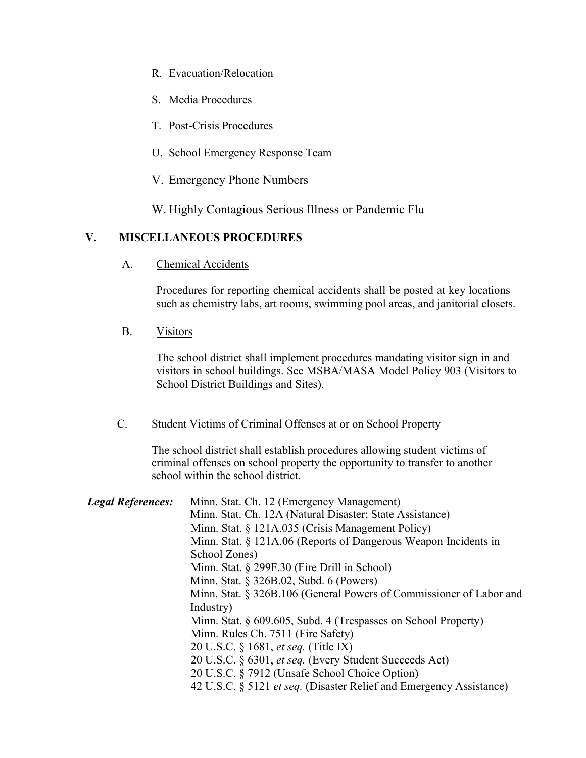- R. Evacuation/Relocation
- S. Media Procedures
- T. Post-Crisis Procedures
- U. School Emergency Response Team
- V. Emergency Phone Numbers

W. Highly Contagious Serious Illness or Pandemic Flu

# **V. MISCELLANEOUS PROCEDURES**

A. Chemical Accidents

Procedures for reporting chemical accidents shall be posted at key locations such as chemistry labs, art rooms, swimming pool areas, and janitorial closets.

B. Visitors

The school district shall implement procedures mandating visitor sign in and visitors in school buildings. See MSBA/MASA Model Policy 903 (Visitors to School District Buildings and Sites).

### C. Student Victims of Criminal Offenses at or on School Property

The school district shall establish procedures allowing student victims of criminal offenses on school property the opportunity to transfer to another school within the school district.

| <b>Legal References:</b> | Minn. Stat. Ch. 12 (Emergency Management)                                  |
|--------------------------|----------------------------------------------------------------------------|
|                          | Minn. Stat. Ch. 12A (Natural Disaster; State Assistance)                   |
|                          | Minn. Stat. § 121A.035 (Crisis Management Policy)                          |
|                          | Minn. Stat. § 121A.06 (Reports of Dangerous Weapon Incidents in            |
|                          | School Zones)                                                              |
|                          | Minn. Stat. $\S$ 299F.30 (Fire Drill in School)                            |
|                          | Minn. Stat. § 326B.02, Subd. 6 (Powers)                                    |
|                          | Minn. Stat. § 326B.106 (General Powers of Commissioner of Labor and        |
|                          | Industry)                                                                  |
|                          | Minn. Stat. § 609.605, Subd. 4 (Trespasses on School Property)             |
|                          | Minn. Rules Ch. 7511 (Fire Safety)                                         |
|                          | 20 U.S.C. § 1681, <i>et seq.</i> (Title IX)                                |
|                          | 20 U.S.C. § 6301, et seq. (Every Student Succeeds Act)                     |
|                          | 20 U.S.C. § 7912 (Unsafe School Choice Option)                             |
|                          | 42 U.S.C. § 5121 <i>et seq.</i> (Disaster Relief and Emergency Assistance) |